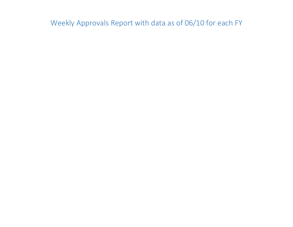Weekly Approvals Report with data as of 06/10 for each FY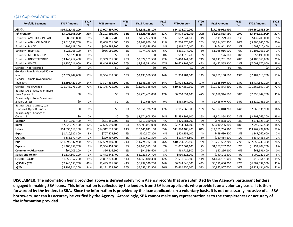# 7(a) Approval Amount

| <b>Portfolio Segment</b>                            | <b>FY17 Amount</b> | <b>FY17</b><br>% | <b>FY18 Amount</b> | <b>FY18</b><br>% | <b>FY19 Amount</b> | <b>FY19</b><br>% | <b>FY20 Amount</b> | <b>FY20</b><br>% | <b>FY21 Amount</b> | <b>FY21</b><br>% | <b>FY22 Amount</b> | <b>FY22</b><br>% |
|-----------------------------------------------------|--------------------|------------------|--------------------|------------------|--------------------|------------------|--------------------|------------------|--------------------|------------------|--------------------|------------------|
| All 7(A)                                            | \$16,921,439,200   |                  | \$17,007,697,400   |                  | \$15,536,128,100   |                  | \$14,174,070,000   |                  | \$17,299,912,900   |                  | \$16,260,153,500   |                  |
| <b>All Minority</b>                                 | \$5,028,008,800    | 30%              | \$5,191,802,400    | 31%              | \$4,825,415,200    | 31%              | \$4,076,436,200    | 29%              | \$5,003,615,900    | 29%              | \$5,146,917,900    | 32%              |
| Ethnicity - AMERICAN INDIAN                         | \$86,895,800       | 1%               | \$128,075,700      | 1%               | \$117,502,900      | 1%               | \$87,841,800       | 1%               | \$119,229,500      | 1%               | \$132,700,000      | 1%               |
| Ethnicity - ASIAN OR PACIFIC                        | \$3,616,138,700    | 21%              | \$3,608,051,500    | 21%              | \$3,247,850,100    | 21%              | \$2,774,576,900    | 20%              | \$3,374,302,300    | 20%              | \$3,300,745,200    | 20%              |
| Ethnicity - BLACK                                   | \$395,628,200      | 2%               | \$469,594,900      | 3%               | \$485,888,400      | 3%               | \$364,420,100      | 3%               | \$464,941,200      | 3%               | \$603,710,400      | 4%               |
| Ethnicity - HISPANIC                                | \$925,768,100      | 5%               | \$986,080,300      | 6%               | \$974,173,800      | 6%               | \$835,977,700      | 6%               | \$1,045,016,900    | 6%               | \$1,106,263,300    | 7%               |
| Ethnicity - MULTI-GROUP                             | \$3,578,000        | 0%               | \$0                | 0%               | \$0                | 0%               | \$13,619,700       | 0%               | \$126,000          | 0%               | \$3,499,000        | 0%               |
| Ethnicity - UNDETERMINED                            | \$3,143,214,400    | 19%              | \$3,369,605,900    | 20%              | \$3,377,191,500    | 22%              | \$3,468,441,800    | 24%              | \$4,843,731,700    | 28%              | \$4,105,565,600    | 25%              |
| Ethnicity - WHITE                                   | \$8,750,216,000    | 52%              | \$8,446,289,100    | 50%              | \$7,333,521,400    | 47%              | \$6,629,192,000    | 47%              | \$7,452,565,300    | 43%              | \$7,007,670,000    | 43%              |
| Gender - Not Reported                               | \$0                | 0%               | \$0                | 0%               | \$0                | 0%               | \$0                | 0%               | \$0                | 0%               | \$0                | 0%               |
| Gender - Female Owned 50% or                        |                    |                  |                    |                  |                    |                  |                    |                  |                    |                  |                    |                  |
| less                                                | \$2,577,742,600    | 15%              | \$2,554,538,800    | 15%              | \$2,193,580,500    | 14%              | \$1,958,284,600    | 14%              | \$2,251,158,600    | 13%              | \$2,182,613,700    | 13%              |
| Gender - Female Owned more                          |                    |                  |                    |                  |                    |                  |                    |                  |                    |                  |                    |                  |
| than 50%                                            | \$2,395,420,300    | 14%              | \$2,307,433,600    | 14%              | \$2,143,158,700    | 14%              | \$1,918,126,100    | 14%              | \$2,325,910,500    | 13%              | \$2,414,640,100    | 15%              |
| Gender - Male Owned                                 | \$11,948,276,300   | 71%              | \$12,145,725,000   | 71%              | \$11,199,388,900   | 72%              | \$10,297,659,300   | 73%              | \$12,722,843,800   | 74%              | \$11,662,899,700   | 72%              |
| Business Age - Existing or more<br>than 2 years old | \$0                | 0%               | \$0                | 0%               | \$7,278,455,000    | 47%              | \$6,710,834,100    | 47%              | \$8,678,944,500    | 50%              | \$7,350,942,700    | 45%              |
| Business Age - New Business or                      |                    |                  |                    |                  |                    |                  |                    |                  |                    |                  |                    |                  |
| 2 years or less                                     | \$0                | 0%               | \$0                | 0%               | \$12,615,600       | 0%               | \$563,564,700      | 4%               | \$2,418,040,700    | 14%              | \$2,629,746,300    | 16%              |
| Business Age - Startup, Loan                        |                    |                  |                    |                  |                    |                  |                    |                  |                    |                  |                    |                  |
| Funds will Open Business                            | \$0                | 0%               | \$0                | 0%               | \$2,651,728,700    | 17%              | \$2,155,560,300    | 15%              | \$2,397,010,200    | 14%              | \$2,568,636,900    | 16%              |
| Business Age - Change of                            |                    |                  |                    |                  |                    |                  |                    |                  |                    |                  |                    |                  |
| Ownership                                           | \$0                | 0%               | \$0                | 0%               | \$3,674,903,500    | 24%              | \$3,539,897,600    | 25%              | \$3,801,354,500    | 22%              | \$3,703,765,200    | 23%              |
| Veteran                                             | \$649,309,400      | 4%               | \$631,355,600      | 4%               | \$619,320,900      | 4%               | \$476,881,200      | 3%               | \$575,808,000      | 3%               | \$571,325,100      | 4%               |
| Rural                                               | \$2,828,320,100    | 17%              | \$2,695,059,400    | 16%              | \$2,390,087,000    | 15%              | \$2,293,661,600    | 16%              | \$3,040,206,800    | 18%              | \$2,992,656,500    | 18%              |
| <b>Urban</b>                                        | \$14,093,119,100   | 83%              | \$14,312,638,000   | 84%              | \$13,146,041,100   | 85%              | \$11,880,408,400   | 84%              | \$14,259,706,100   | 82%              | \$13,267,497,000   | 82%              |
| <b>Export</b>                                       | \$1,410,520,800    | 8%               | \$707,278,800      | 4%               | \$630,307,200      | 4%               | \$503,151,100      | 4%               | \$459,630,800      | 3%               | \$347,062,600      | 2%               |
| <b>CAPLine</b>                                      | \$181,377,400      | 1%               | \$220,497,100      | 1%               | \$189,601,500      | 1%               | \$173,741,800      | 1%               | \$210,484,100      | 1%               | \$134,483,800      | 1%               |
| <b>PLP</b>                                          | \$11,892,937,900   | 70%              | \$12,559,149,300   | 74%              | \$11,774,732,100   | 76%              | \$10,654,625,800   | 75%              | \$13,253,592,700   | 77%              | \$12,050,240,300   | 74%              |
| <b>Express</b>                                      | \$1,403,959,700    | 8%               | \$1,364,464,500    | 8%               | \$1,160,579,100    | 7%               | \$1,052,364,100    | 7%               | \$1,257,207,900    | 7%               | \$1,294,404,700    | 8%               |
| <b>Community Advantage</b>                          | \$94,005,200       | 1%               | \$96,816,500       | 1%               | \$94,536,600       | 1%               | \$63,722,800       | 0%               | \$52,296,100       | 0%               | \$68,996,400       | 0%               |
| \$150K and Under                                    | \$1,517,507,100    | 9%               | \$1,472,342,400    | 9%               | \$1,221,804,700    | 8%               | \$930,525,100      | 7%               | \$740,142,500      | 4%               | \$909,122,300      | 6%               |
| >\$150K - \$350K                                    | \$1,858,967,200    | 11%              | \$1,857,803,200    | 11%              | \$1,869,830,300    | 12%              | \$1,531,845,800    | 11%              | \$1,494,181,900    | 9%               | \$1,716,564,100    | 11%              |
| >\$350K - \$2M                                      | \$7,746,653,700    | 46%              | \$7,495,591,900    | 44%              | \$6,792,320,200    | 44%              | \$6,248,848,500    | 44%              | \$8,119,680,900    | 47%              | \$6,907,032,500    | 42%              |
| >52M                                                | \$5,798,311,200    | 34%              | \$6,181,959,900    | 36%              | \$5,652,172,900    | 36%              | \$5,462,850,600    | 39%              | \$6,945,907,600    | 40%              | \$6,727,434,600    | 41%              |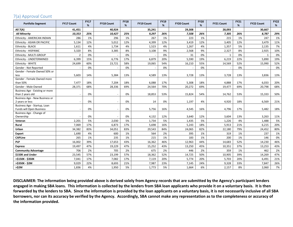## 7(a) Approval Count

| <b>Portfolio Segment</b>                           | <b>FY17 Count</b>        | <b>FY17</b><br>% | <b>FY18 Count</b> | <b>FY18</b><br>% | <b>FY19 Count</b> | <b>FY19</b><br>% | <b>FY20 Count</b> | <b>FY20</b><br>% | <b>FY21 Count</b> | <b>FY21</b><br>% | <b>FY22 Count</b> | <b>FY22</b><br>% |
|----------------------------------------------------|--------------------------|------------------|-------------------|------------------|-------------------|------------------|-------------------|------------------|-------------------|------------------|-------------------|------------------|
| <b>All 7(A)</b>                                    | 41,451                   |                  | 40,924            |                  | 35,241            |                  | 29,308            |                  | 28,093            |                  | 30,667            |                  |
| <b>All Minority</b>                                | 10,353                   | 25%              | 10,427            | 25%              | 9,297             | 26%              | 7,508             | 26%              | 7,305             | 26%              | 8,787             | 29%              |
| Ethnicity - AMERICAN INDIAN                        | 286                      | 1%               | 296               | 1%               | 267               | 1%               | 223               | 1%               | 215               | 1%               | 247               | 1%               |
| Ethnicity - ASIAN OR PACIFIC                       | 5,134                    | 12%              | 5,012             | 12%              | 4,399             | 12%              | 3,419             | 12%              | 3,405             | 12%              | 3,479             | 11%              |
| Ethnicity - BLACK                                  | 1,611                    | 4%               | 1,734             | 4%               | 1,523             | 4%               | 1,267             | 4%               | 1,357             | 5%               | 2,135             | 7%               |
| <b>Ethnicity - HISPANIC</b>                        | 3,320                    | 8%               | 3,385             | 8%               | 3,108             | 9%               | 2,568             | 9%               | 2,327             | 8%               | 2,925             | 10%              |
| Ethnicity - MULTI-GROUP                            | $\overline{2}$           | 0%               |                   | 0%               |                   | 0%               | 31                | 0%               | 1                 | 0%               |                   | 0%               |
| Ethnicity - UNDETERMINED                           | 6,399                    | 15%              | 6,776             | 17%              | 6,879             | 20%              | 5,590             | 19%              | 6,219             | 22%              | 5,890             | 19%              |
| Ethnicity - WHITE                                  | 24,699                   | 60%              | 23,721            | 58%              | 19,065            | 54%              | 16,210            | 55%              | 14,569            | 52%              | 15,990            | 52%              |
| Gender - Not Reported                              |                          | 0%               |                   | 0%               |                   | 0%               |                   | 0%               |                   | 0%               |                   | 0%               |
| Gender - Female Owned 50% or                       |                          |                  |                   |                  |                   |                  |                   |                  |                   |                  |                   |                  |
| less                                               | 5,603                    | 14%              | 5,384             | 13%              | 4,589             | 13%              | 3,728             | 13%              | 3,728             | 13%              | 3,836             | 13%              |
| Gender - Female Owned more                         |                          |                  |                   |                  |                   |                  |                   |                  |                   |                  |                   |                  |
| than 50%                                           | 7,477                    | 18%              | 7,204             | 18%              | 6,088             | 17%              | 5,308             | 18%              | 4,888             | 17%              | 6,033             | 20%              |
| Gender - Male Owned                                | 28,371                   | 68%              | 28,336            | 69%              | 24,564            | 70%              | 20,272            | 69%              | 19,477            | 69%              | 20,798            | 68%              |
| Business Age - Existing or more                    |                          | 0%               |                   | 0%               |                   | 53%              |                   | 54%              |                   | 53%              |                   | 50%              |
| than 2 years old<br>Business Age - New Business or | $\overline{\phantom{a}}$ |                  |                   |                  | 18,853            |                  | 15,824            |                  | 14,762            |                  | 15,333            |                  |
| 2 years or less                                    |                          | 0%               |                   | 0%               | 14                | 0%               | 1,197             | 4%               | 4,920             | 18%              | 6,569             | 21%              |
| Business Age - Startup, Loan                       |                          |                  |                   |                  |                   |                  |                   |                  |                   |                  |                   |                  |
| Funds will Open Business                           |                          | 0%               |                   | 0%               | 5,756             | 16%              | 4,545             | 16%              | 4,796             | 17%              | 5,482             | 18%              |
| Business Age - Change of                           |                          |                  |                   |                  |                   |                  |                   |                  |                   |                  |                   |                  |
| Ownership                                          |                          | 0%               |                   | 0%               | 4,132             | 12%              | 3,640             | 12%              | 3,604             | 13%              | 3,263             | 11%              |
| Veteran                                            | 2,201                    | 5%               | 2,030             | 5%               | 1,734             | 5%               | 1,435             | 5%               | 1,226             | 4%               | 1,488             | 5%               |
| Rural                                              | 7.069                    | 17%              | 6,873             | 17%              | 5,698             | 16%              | 5,243             | 18%              | 5,913             | 21%              | 6,215             | 20%              |
| Urban                                              | 34,382                   | 83%              | 34,051            | 83%              | 29,543            | 84%              | 24,065            | 82%              | 22,180            | 79%              | 24,452            | 80%              |
| <b>Export</b>                                      | 1,690                    | 4%               | 600               | 1%               | 564               | 2%               | 395               | 1%               | 319               | 1%               | 237               | 1%               |
| <b>CAPLine</b>                                     | 265                      | 1%               | 235               | 1%               | 215               | 1%               | 183               | 1%               | 200               | 1%               | 146               | 0%               |
| <b>PLP</b>                                         | 16,002                   | 39%              | 17,653            | 43%              | 16,362            | 46%              | 12,963            | 44%              | 14,683            | 52%              | 14,230            | 46%              |
| <b>Express</b>                                     | 19,497                   | 47%              | 19,229            | 47%              | 15,252            | 43%              | 13,250            | 45%              | 10,351            | 37%              | 13,253            | 43%              |
| <b>Community Advantage</b>                         | 706                      | 2%               | 705               | 2%               | 675               | 2%               | 446               | 2%               | 359               | 1%               | 462               | 2%               |
| \$150K and Under                                   | 23,545                   | 57%              | 23,199            | 57%              | 18,362            | 52%              | 14,725            | 50%              | 10,905            | 39%              | 14,269            | 47%              |
| >\$150K - \$350K                                   | 7,041                    | 17%              | 7,082             | 17%              | 7,119             | 20%              | 5,774             | 20%              | 5,703             | 20%              | 6,491             | 21%              |
| >\$350K - \$2M                                     | 9,029                    | 22%              | 8,693             | 21%              | 7,987             | 23%              | 7,145             | 24%              | 9,328             | 33%              | 7,847             | 26%              |
| >52M                                               | 1,836                    | 4%               | 1,950             | 5%               | 1,773             | 5%               | 1,664             | 6%               | 2,157             | 8%               | 2,060             | 7%               |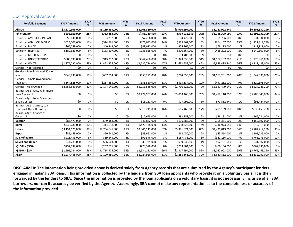### 504 Approval Amount

| <b>Portfolio Segment</b>                                 | <b>FY17 Amount</b> | <b>FY17</b><br>% | <b>FY18 Amount</b> | <b>FY18</b><br>% | <b>FY19 Amount</b> | <b>FY19</b><br>% | <b>FY20 Amount</b> | <b>FY20</b><br>% | <b>FY21 Amount</b> | <b>FY21</b><br>% | <b>FY22 Amount</b> | <b>FY22</b><br>% |
|----------------------------------------------------------|--------------------|------------------|--------------------|------------------|--------------------|------------------|--------------------|------------------|--------------------|------------------|--------------------|------------------|
| All 504                                                  | \$3,570,906,000    |                  | \$3,119,339,000    |                  | \$3,268,380,000    |                  | \$3,910,297,000    |                  | \$5,141,992,540    |                  | \$6,801,530,290    |                  |
| <b>All Minority</b>                                      | \$886,010,000      | 25%              | \$752,153,000      | 24%              | \$766,118,000      | 23%              | \$934,215,000      | 24%              | \$1,166,320,000    | 23%              | \$1,808,081,290    | 27%              |
| Ethnicity - AMERICAN INDIAN                              | \$6,136,000        | 0%               | \$3,237,000        | 0%               | \$7,256,000        | 0%               | \$4,422,000        | 0%               | \$5,736,000        | 0%               | \$31,934,000       | 0%               |
| Ethnicity - ASIAN OR PACIFIC                             | \$624,002,000      | 17%              | \$524,861,000      | 17%              | \$471,082,000      | 14%              | \$569,861,000      | 15%              | \$664,167,000      | 13%              | \$1,122,719,290    | 17%              |
| Ethnicity - BLACK                                        | \$66,249,000       | 2%               | \$40,248,000       | 1%               | \$48,922,000       | 1%               | \$55,965,000       | 1%               | \$68,195,000       | 1%               | \$112,919,000      | 2%               |
| Ethnicity - HISPANIC                                     | \$189,623,000      | 5%               | \$183,807,000      | 6%               | \$238,858,000      | 7%               | \$300,564,000      | 8%               | \$428,222,000      | 8%               | \$540,509,000      | 8%               |
| Ethnicity - MULTI-GROUP                                  | \$0                | 0%               | \$0                | 0%               | \$0                | 0%               | \$3,403,000        | 0%               | \$0                | 0%               | \$0                | 0%               |
| Ethnicity - UNDETERMINED                                 | \$809,099,000      | 23%              | \$913,232,000      | 29%              | \$964,468,000      | 30%              | \$1,343,530,000    | 34%              | \$1,102,187,000    | 21%              | \$1,275,966,000    | 19%              |
| Ethnicity - WHITE                                        | \$1,875,797,000    | 53%              | \$1,453,954,000    | 47%              | \$1,537,794,000    | 47%              | \$1,632,552,000    | 42%              | \$2,873,485,540    | 56%              | \$3,717,483,000    | 55%              |
| Gender - Not Reported                                    | \$0                | 0%               | \$0                | 0%               | \$0                | 0%               | \$0                | 0%               | \$0                | 0%               | \$0                | 0%               |
| Gender - Female Owned 50% or<br>less                     | \$349,838,000      | 10%              | \$657,914,000      | 21%              | \$655,275,000      | 20%              | \$784,335,000      | 20%              | \$1,053,231,000    | 20%              | \$1,347,090,000    | 20%              |
| Gender - Female Owned more                               |                    |                  |                    |                  |                    |                  |                    |                  |                    |                  |                    |                  |
| than 50%                                                 | \$364,525,000      | 10%              | \$287,385,000      | 9%               | \$356,520,000      | 11%              | \$395,137,000      | 10%              | \$447,282,000      | 9%               | \$629,695,000      | 9%               |
| Gender - Male Owned                                      | \$2,856,543,000    | 80%              | \$2,174,040,000    | 70%              | \$2,256,585,000    | 69%              | \$2,730,825,000    | 70%              | \$3,641,479,540    | 71%              | \$4,824,745,290    | 71%              |
| Business Age - Existing or more                          |                    |                  |                    |                  |                    |                  |                    |                  |                    |                  |                    |                  |
| than 2 years old                                         | \$0                | 0%               | \$0                | 0%               | \$2,427,907,000    | 74%              | \$3,058,468,000    | 78%              | \$4,472,110,000    | 87%              | \$5,700,349,000    | 84%              |
| Business Age - New Business or                           |                    |                  |                    |                  |                    |                  |                    |                  |                    |                  |                    |                  |
| 2 years or less                                          | \$0                | 0%               | \$0                | 0%               | \$15,252,000       | 0%               | \$27,992,000       | 1%               | \$72,582,540       | 1%               | \$96,444,000       | 1%               |
| Business Age - Startup, Loan<br>Funds will Open Business | \$0                | 0%               | \$0                | 0%               | \$516,219,000      | 16%              | \$655,460,000      | 17%              | \$499,169,000      | 10%              | \$838,453,290      | 12%              |
| Business Age - Change of                                 |                    |                  |                    |                  |                    |                  |                    |                  |                    |                  |                    |                  |
| Ownership                                                | \$0                | 0%               | \$0                | 0%               | \$17,643,000       | 1%               | \$92,153,000       | 2%               | \$98,131,000       | 2%               | \$166,284,000      | 2%               |
| Veteran                                                  | \$83,471,000       | 2%               | \$49,188,000       | 2%               | \$46,882,000       | 1%               | \$116,882,000      | 3%               | \$105,361,000      | 2%               | \$152,597,000      | 2%               |
| Rural                                                    | \$436,286,000      | 12%              | \$414,698,000      | 13%              | \$422,138,000      | 13%              | \$538,423,000      | 14%              | \$716,973,540      | 14%              | \$1,019,318,000    | 15%              |
| Urban                                                    | \$3,134,620,000    | 88%              | \$2,704,641,000    | 87%              | \$2,846,242,000    | 87%              | \$3,371,874,000    | 86%              | \$4,425,019,000    | 86%              | \$5,782,212,290    | 85%              |
| <b>Export</b>                                            | \$55,449,000       | 2%               | \$50,641,000       | 2%               | \$43,661,000       | 1%               | \$68,450,000       | 2%               | \$85,564,000       | 2%               | \$102,235,000      | 2%               |
| <b>504 Refinance</b>                                     | \$215,433,000      | 6%               | \$89,545,000       | 3%               | \$91,546,000       | 3%               | \$187,483,000      | 5%               | \$382,136,000      | 7%               | \$765,973,000      | 11%              |
| \$150K and Under                                         | \$44,785,000       | 1%               | \$36,503,000       | 1%               | \$35,735,000       | 1%               | \$39,836,000       | 1%               | \$52,101,540       | 1%               | \$31,387,000       | 0%               |
| >\$150K - \$350K                                         | \$292,932,000      | 8%               | \$267,511,000      | 9%               | \$273,578,000      | 8%               | \$293,904,000      | 8%               | \$406,156,000      | 8%               | \$367,730,000      | 5%               |
| >\$350K - \$2M                                           | \$1,995,744,000    | 56%              | \$1,714,975,000    | 55%              | \$1,934,151,000    | 59%              | \$2,317,994,000    | 59%              | \$3,022,903,000    | 59%              | \$3,769,453,290    | 55%              |
| >52M                                                     | \$1,237,445,000    | 35%              | \$1,100,350,000    | 35%              | \$1,024,916,000    | 31%              | \$1,258,563,000    | 32%              | \$1,660,832,000    | 32%              | \$2,632,960,000    | 39%              |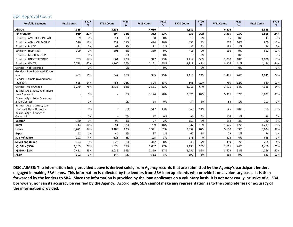### 504 Approval Count

| <b>Portfolio Segment</b>                            | <b>FY17 Count</b>        | <b>FY17</b><br>% | <b>FY18 Count</b> | <b>FY18</b><br>% | <b>FY19 Count</b> | <b>FY19</b><br>% | <b>FY20 Count</b> | <b>FY20</b><br>% | <b>FY21 Count</b> | <b>FY21</b><br>% | <b>FY22 Count</b> | <b>FY22</b><br>% |
|-----------------------------------------------------|--------------------------|------------------|-------------------|------------------|-------------------|------------------|-------------------|------------------|-------------------|------------------|-------------------|------------------|
| <b>All 504</b>                                      | 4,385                    |                  | 3,831             |                  | 4,050             |                  | 4,689             |                  | 6,226             |                  | 6,835             |                  |
| <b>All Minority</b>                                 | 919                      | 21%              | 807               | 21%              | 882               | 22%              | 953               | 20%              | 1,330             | 21%              | 1,645             | 24%              |
| Ethnicity - AMERICAN INDIAN                         | $\mathsf{q}$             | 0%               | 11                | 0%               | 8                 | 0%               | 11                | 0%               | 15                | 0%               | 47                | 1%               |
| Ethnicity - ASIAN OR PACIFIC                        | 510                      | 12%              | 427               | 11%              | 424               | 10%              | 435               | 9%               | 617               | 10%              | 800               | 12%              |
| Ethnicity - BLACK                                   | 91                       | 2%               | 68                | 2%               | 81                | 2%               | 85                | 2%               | 132               | 2%               | 146               | 2%               |
| Ethnicity - HISPANIC                                | 309                      | 7%               | 301               | 8%               | 369               | 9%               | 416               | 9%               | 566               | 9%               | 652               | 10%              |
| Ethnicity - MULTI-GROUP                             |                          | 0%               |                   | 0%               |                   | 0%               | 6                 | 0%               |                   | 0%               |                   | 0%               |
| Ethnicity - UNDETERMINED                            | 753                      | 17%              | 864               | 23%              | 947               | 23%              | 1,417             | 30%              | 1,090             | 18%              | 1,036             | 15%              |
| Ethnicity - WHITE                                   | 2,713                    | 62%              | 2,160             | 56%              | 2,221             | 55%              | 2,319             | 49%              | 3,806             | 61%              | 4,154             | 61%              |
| Gender - Not Reported                               |                          | 0%               |                   | 0%               |                   | 0%               |                   | 0%               |                   | 0%               |                   | 0%               |
| Gender - Female Owned 50% or                        |                          |                  |                   |                  |                   |                  |                   |                  |                   |                  |                   |                  |
| less                                                | 481                      | 11%              | 947               | 25%              | 995               | 25%              | 1,110             | 24%              | 1,471             | 24%              | 1,649             | 24%              |
| Gender - Female Owned more                          |                          |                  |                   |                  |                   |                  |                   |                  |                   |                  |                   |                  |
| than 50%                                            | 625                      | 14%              | 451               | 12%              | 524               | 13%              | 566               | 12%              | 760               | 12%              | 820               | 12%              |
| Gender - Male Owned                                 | 3,279                    | 75%              | 2,433             | 64%              | 2,531             | 62%              | 3,013             | 64%              | 3,995             | 64%              | 4,366             | 64%              |
| Business Age - Existing or more<br>than 2 years old |                          | 0%               |                   | 0%               | 3,174             | 78%              | 3,826             | 82%              |                   | 87%              | 5,837             | 85%              |
| Business Age - New Business or                      | $\overline{\phantom{a}}$ |                  |                   |                  |                   |                  |                   |                  | 5,391             |                  |                   |                  |
| 2 years or less                                     | $\overline{\phantom{a}}$ | 0%               |                   | 0%               | 14                | 0%               | 34                | 1%               | 84                | 1%               | 102               | 1%               |
| Business Age - Startup, Loan                        |                          |                  |                   |                  |                   |                  |                   |                  |                   |                  |                   |                  |
| Funds will Open Business                            | $\overline{\phantom{a}}$ | 0%               |                   | 0%               | 542               | 13%              | 661               | 14%              | 645               | 10%              | 758               | 11%              |
| Business Age - Change of                            |                          |                  |                   |                  |                   |                  |                   |                  |                   |                  |                   |                  |
| Ownership                                           |                          | 0%               |                   | 0%               | 17                | 0%               | 96                | 2%               | 106               | 2%               | 138               | 2%               |
| Veteran                                             | 140                      | 3%               | 98                | 3%               | 77                | 2%               | 150               | 3%               | 158               | 3%               | 180               | 3%               |
| Rural                                               | 713                      | 16%              | 651               | 17%              | 709               | 18%              | 837               | 18%              | 1,076             | 17%              | 1,211             | 18%              |
| Urban                                               | 3,672                    | 84%              | 3,180             | 83%              | 3,341             | 82%              | 3,852             | 82%              | 5,150             | 83%              | 5,624             | 82%              |
| Export                                              | 42                       | 1%               | 44                | 1%               | 37                | 1%               | 60                | 1%               | 79                | 1%               | 76                | 1%               |
| 504 Refinance                                       | 191                      | 4%               | 121               | 3%               | 105               | 3%               | 175               | 4%               | 374               | 6%               | 645               | 9%               |
| \$150K and Under                                    | 393                      | 9%               | 320               | 8%               | 312               | 8%               | 348               | 7%               | 459               | 7%               | 268               | 4%               |
| >\$150K - \$350K                                    | 1,189                    | 27%              | 1,079             | 28%              | 1,087             | 27%              | 1,193             | 25%              | 1,611             | 26%              | 1,460             | 21%              |
| >\$350K - \$2M                                      | 2,411                    | 55%              | 2,085             | 54%              | 2,319             | 57%              | 2,751             | 59%              | 3,623             | 58%              | 4,266             | 62%              |
| >52M                                                | 392                      | 9%               | 347               | 9%               | 332               | 8%               | 397               | 8%               | 533               | 9%               | 841               | 12%              |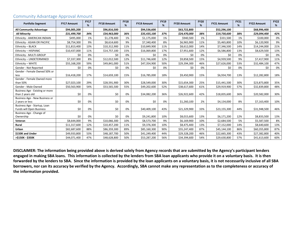| <b>Portfolio Segment</b>                        | <b>FY17 Amount</b> | <b>FY17</b><br>% | <b>FY18 Amount</b> | <b>FY18</b><br>% | <b>FY19 Amount</b> | <b>FY19</b><br>% | <b>FY20 Amount</b> | <b>FY20</b><br>% | <b>FY21 Amount</b> | <b>FY21</b><br>% | <b>FY22 Amount</b> | <b>FY22</b><br>% |
|-------------------------------------------------|--------------------|------------------|--------------------|------------------|--------------------|------------------|--------------------|------------------|--------------------|------------------|--------------------|------------------|
| <b>All Community Advantage</b>                  | \$94,005,200       |                  | \$96,816,500       |                  | \$94,536,600       |                  | \$63,722,800       |                  | \$52,296,100       |                  | \$68,996,400       |                  |
| <b>All Minority</b>                             | \$31,499,700       | 34%              | \$34,963,000       | 36%              | \$35,435,100       | 37%              | \$24,470,000       | 38%              | \$19,730,600       | 38%              | \$29,094,400       | 42%              |
| Ethnicity - AMERICAN INDIAN                     | \$495,000          | 1%               | \$1,278,400        | 1%               | \$1,175,000        | 1%               | \$940,500          | 1%               | \$331,500          | 1%               | \$100,000          | 0%               |
| Ethnicity - ASIAN OR PACIFIC                    | \$8,754,300        | 9%               | \$8,614,600        | 9%               | \$7,340,400        | 8%               | \$6,965,900        | 11%              | \$5,465,800        | 10%              | \$6,120,900        | 9%               |
| Ethnicity - BLACK                               | \$11,813,400       | 13%              | \$10,312,900       | 11%              | \$10,849,900       | 11%              | \$8,612,000        | 14%              | \$7,346,500        | 14%              | \$14,244,000       | 21%              |
| Ethnicity - HISPANIC                            | \$10,437,000       | 11%              | \$14,757,100       | 15%              | \$16,069,800       | 17%              | \$7,951,600        | 12%              | \$6,586,800        | 13%              | \$8,629,500        | 13%              |
| Ethnicity - MULTI-GROUP                         | \$0                | 0%               | \$0                | 0%               | \$0                | 0%               | \$0                | 0%               | \$0                | 0%               | \$0                | 0%               |
| Ethnicity - UNDETERMINED                        | \$7,337,300        | 8%               | \$12,012,500       | 12%              | \$11,746,600       | 12%              | \$9,858,500        | 15%              | \$4,939,500        | 9%               | \$7,417,900        | 11%              |
| Ethnicity - WHITE                               | \$55,168,200       | 59%              | \$49,841,000       | 51%              | \$47,354,900       | 50%              | \$29,394,300       | 46%              | \$27,626,000       | 53%              | \$32,484,100       | 47%              |
| Gender - Not Reported                           | \$0                | 0%               | \$0                | 0%               | \$0                | 0%               | \$0                | 0%               | \$0                | 0%               | \$0                | 0%               |
| Gender - Female Owned 50% or                    |                    |                  |                    |                  |                    |                  |                    |                  |                    |                  |                    |                  |
| less<br>Gender - Female Owned more              | \$16,418,200       | 17%              | \$14,659,100       | 15%              | \$16,785,000       | 18%              | \$9,450,900        | 15%              | \$6,934,700        | 13%              | \$12,282,800       | 18%              |
| than 50%                                        | \$27,023,100       | 29%              | \$28,591,900       | 30%              | \$28,549,000       | 30%              | \$15,654,300       | 25%              | \$15,441,500       | 30%              | \$23,873,800       | 35%              |
| Gender - Male Owned                             | \$50,563,900       | 54%              | \$53,565,500       | 55%              | \$49,202,600       | 52%              | \$38,617,600       | 61%              | \$29,919,900       | 57%              | \$32,839,800       | 48%              |
| Business Age - Existing or more                 |                    |                  |                    |                  |                    |                  |                    |                  |                    |                  |                    |                  |
| than 2 years old                                | \$0                | 0%               | \$0                | 0%               | \$34,082,200       | 36%              | \$26,922,600       | 42%              | \$18,835,600       | 36%              | \$20,582,000       | 30%              |
| Business Age - New Business or                  |                    |                  |                    |                  |                    |                  |                    |                  |                    |                  |                    |                  |
| 2 years or less<br>Business Age - Startup, Loan | \$0                | 0%               | \$0                | 0%               | \$0                | 0%               | \$1,260,100        | 2%               | \$4,134,000        | 8%               | \$7,163,400        | 10%              |
| Funds will Open Business                        | \$0                | 0%               | \$0                | 0%               | \$40,409,100       | 43%              | \$21,329,900       | 33%              | \$23,155,300       | 44%              | \$31,948,500       | 46%              |
| Business Age - Change of                        |                    |                  |                    |                  |                    |                  |                    |                  |                    |                  |                    |                  |
| Ownership                                       | \$0                | 0%               | \$0                | 0%               | \$9,241,800        | 10%              | \$8,015,600        | 13%              | \$6,171,200        | 12%              | \$8,833,500        | 13%              |
| Veteran                                         | \$8,644,000        | 9%               | \$10,066,300       | 10%              | \$8,573,700        | 9%               | \$6,169,900        | 10%              | \$2,684,500        | 5%               | \$5,587,500        | 8%               |
| Rural                                           | \$11,317,600       | 12%              | \$10,457,200       | 11%              | \$9,376,300        | 10%              | \$8,475,400        | 13%              | \$7,152,000        | 14%              | \$8,640,600        | 13%              |
| Urban                                           | \$82,687,600       | 88%              | \$86,359,300       | 89%              | \$85,160,300       | 90%              | \$55,247,400       | 87%              | \$45,144,100       | 86%              | \$60,355,800       | 87%              |
| \$150K and Under                                | \$49,933,800       | 53%              | \$48,187,700       | 50%              | \$41,249,400       | 44%              | \$29,328,200       | 46%              | \$22,665,300       | 43%              | \$27,382,800       | 40%              |
| >\$150K - \$350K                                | \$44,071,400       | 47%              | \$48,628,800       | 50%              | \$53,287,200       | 56%              | \$34,394,600       | 54%              | \$29,630,800       | 57%              | \$41,613,600       | 60%              |

#### Community Advantage Approval Amount